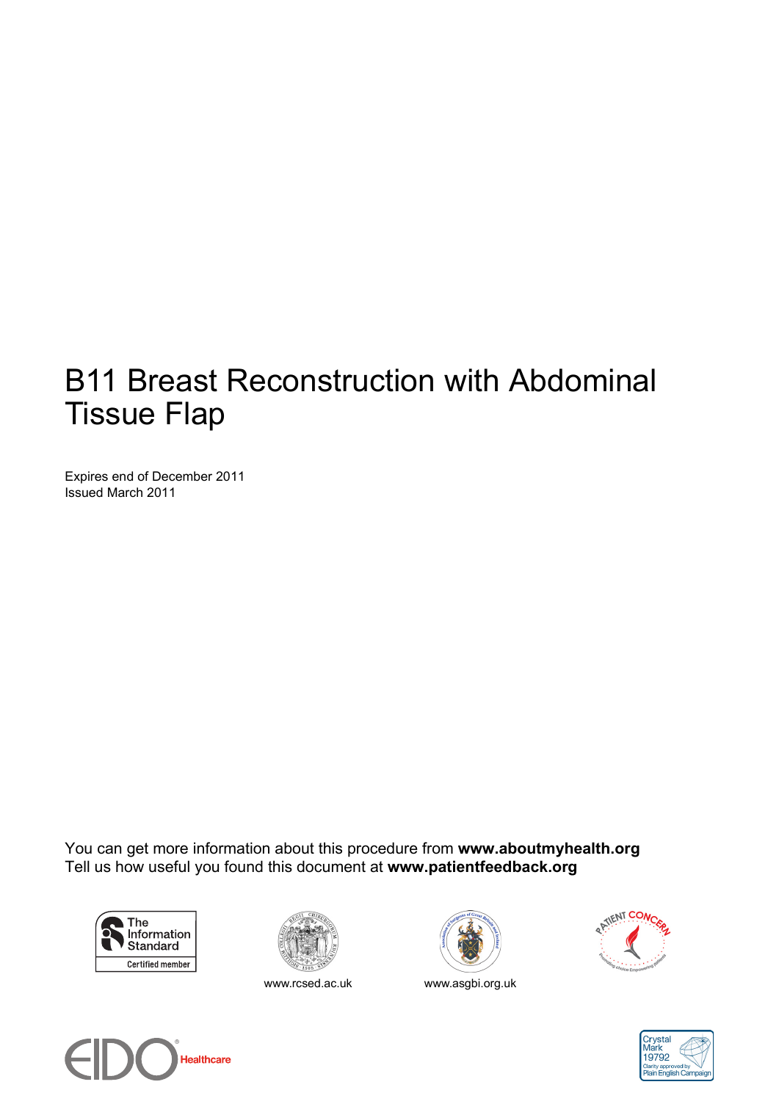# B11 Breast Reconstruction with Abdominal Tissue Flap

Expires end of December 2011 Issued March 2011

You can get more information about this procedure from **www.aboutmyhealth.org** Tell us how useful you found this document at **www.patientfeedback.org**





www.rcsed.ac.uk www.asgbi.org.uk







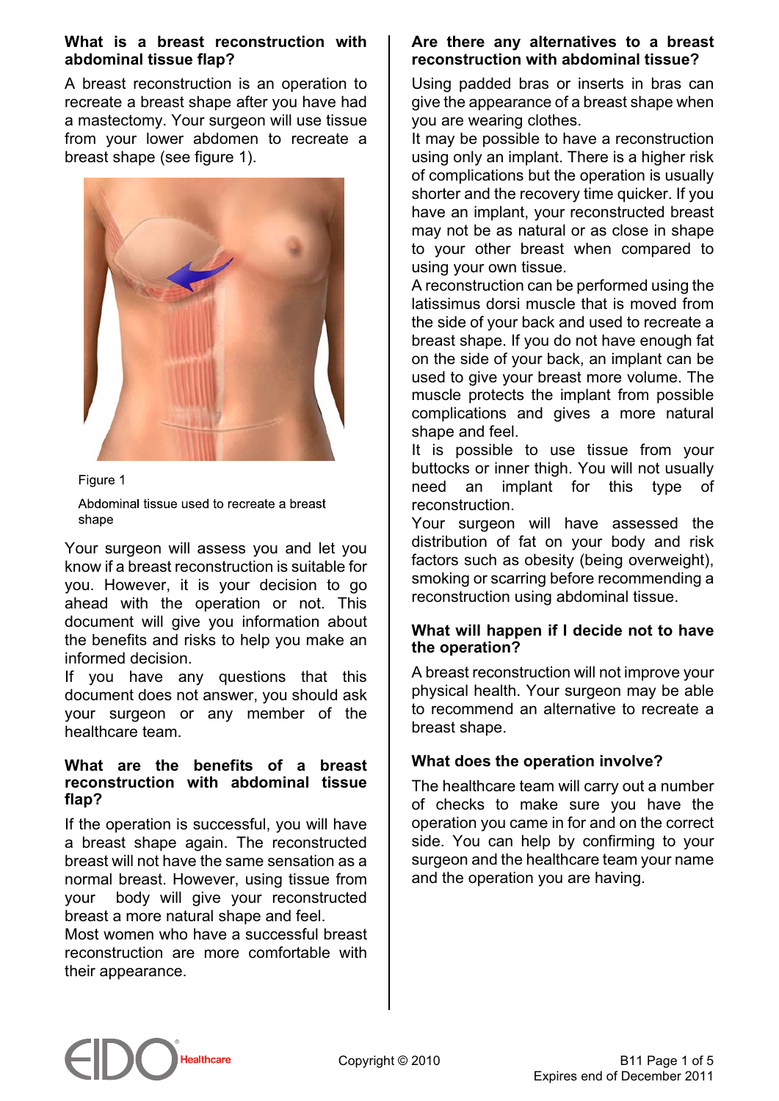#### **What is a breast reconstruction with abdominal tissue flap?**

A breast reconstruction is an operation to recreate a breast shape after you have had a mastectomy. Your surgeon will use tissue from your lower abdomen to recreate a breast shape (see figure 1).



Figure 1

Abdominal tissue used to recreate a breast shape

Your surgeon will assess you and let you know if a breast reconstruction is suitable for you. However, it is your decision to go ahead with the operation or not. This document will give you information about the benefits and risks to help you make an informed decision.

If you have any questions that this document does not answer, you should ask your surgeon or any member of the healthcare team.

## **What are the benefits of a breast reconstruction with abdominal tissue flap?**

If the operation is successful, you will have a breast shape again. The reconstructed breast will not have the same sensation as a normal breast. However, using tissue from your body will give your reconstructed breast a more natural shape and feel.

Most women who have a successful breast reconstruction are more comfortable with their appearance.

## **Are there any alternatives to a breast reconstruction with abdominal tissue?**

Using padded bras or inserts in bras can give the appearance of a breast shape when you are wearing clothes.

It may be possible to have a reconstruction using only an implant. There is a higher risk of complications but the operation is usually shorter and the recovery time quicker. If you have an implant, your reconstructed breast may not be as natural or as close in shape to your other breast when compared to using your own tissue.

A reconstruction can be performed using the latissimus dorsi muscle that is moved from the side of your back and used to recreate a breast shape. If you do not have enough fat on the side of your back, an implant can be used to give your breast more volume. The muscle protects the implant from possible complications and gives a more natural shape and feel.

It is possible to use tissue from your buttocks or inner thigh. You will not usually need an implant for this type of reconstruction.

Your surgeon will have assessed the distribution of fat on your body and risk factors such as obesity (being overweight), smoking or scarring before recommending a reconstruction using abdominal tissue.

## **What will happen if I decide not to have the operation?**

A breast reconstruction will not improve your physical health. Your surgeon may be able to recommend an alternative to recreate a breast shape.

# **What does the operation involve?**

The healthcare team will carry out a number of checks to make sure you have the operation you came in for and on the correct side. You can help by confirming to your surgeon and the healthcare team your name and the operation you are having.

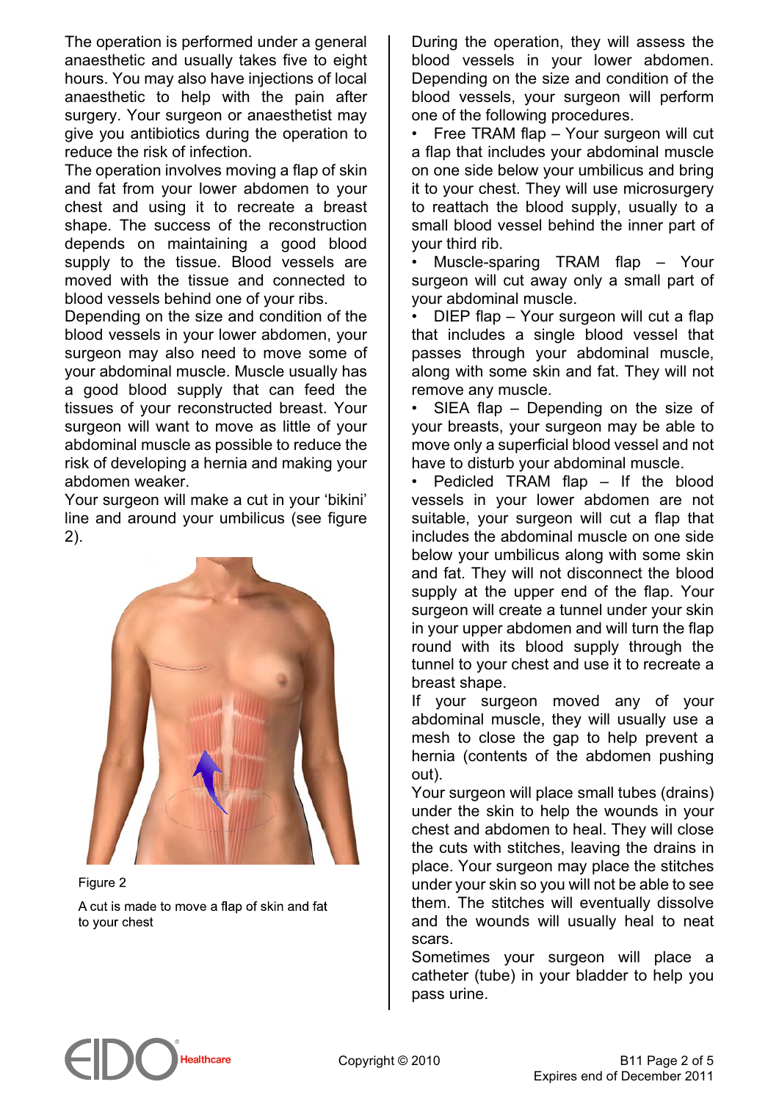The operation is performed under a general anaesthetic and usually takes five to eight hours. You may also have injections of local anaesthetic to help with the pain after surgery. Your surgeon or anaesthetist may give you antibiotics during the operation to reduce the risk of infection.

The operation involves moving a flap of skin and fat from your lower abdomen to your chest and using it to recreate a breast shape. The success of the reconstruction depends on maintaining a good blood supply to the tissue. Blood vessels are moved with the tissue and connected to blood vessels behind one of your ribs.

Depending on the size and condition of the blood vessels in your lower abdomen, your surgeon may also need to move some of your abdominal muscle. Muscle usually has a good blood supply that can feed the tissues of your reconstructed breast. Your surgeon will want to move as little of your abdominal muscle as possible to reduce the risk of developing a hernia and making your abdomen weaker.

Your surgeon will make a cut in your 'bikini' line and around your umbilicus (see figure 2).



Figure 2 A cut is made to move a flap of skin and fat to your chest

During the operation, they will assess the blood vessels in your lower abdomen. Depending on the size and condition of the blood vessels, your surgeon will perform one of the following procedures.

• Free TRAM flap – Your surgeon will cut a flap that includes your abdominal muscle on one side below your umbilicus and bring it to your chest. They will use microsurgery to reattach the blood supply, usually to a small blood vessel behind the inner part of your third rib.

• Muscle-sparing TRAM flap – Your surgeon will cut away only a small part of your abdominal muscle.

• DIEP flap – Your surgeon will cut a flap that includes a single blood vessel that passes through your abdominal muscle, along with some skin and fat. They will not remove any muscle.

• SIEA flap – Depending on the size of your breasts, your surgeon may be able to move only a superficial blood vessel and not have to disturb your abdominal muscle.

• Pedicled TRAM flap – If the blood vessels in your lower abdomen are not suitable, your surgeon will cut a flap that includes the abdominal muscle on one side below your umbilicus along with some skin and fat. They will not disconnect the blood supply at the upper end of the flap. Your surgeon will create a tunnel under your skin in your upper abdomen and will turn the flap round with its blood supply through the tunnel to your chest and use it to recreate a breast shape.

If your surgeon moved any of your abdominal muscle, they will usually use a mesh to close the gap to help prevent a hernia (contents of the abdomen pushing out).

Your surgeon will place small tubes (drains) under the skin to help the wounds in your chest and abdomen to heal. They will close the cuts with stitches, leaving the drains in place. Your surgeon may place the stitches under your skin so you will not be able to see them. The stitches will eventually dissolve and the wounds will usually heal to neat scars.

Sometimes your surgeon will place a catheter (tube) in your bladder to help you pass urine.

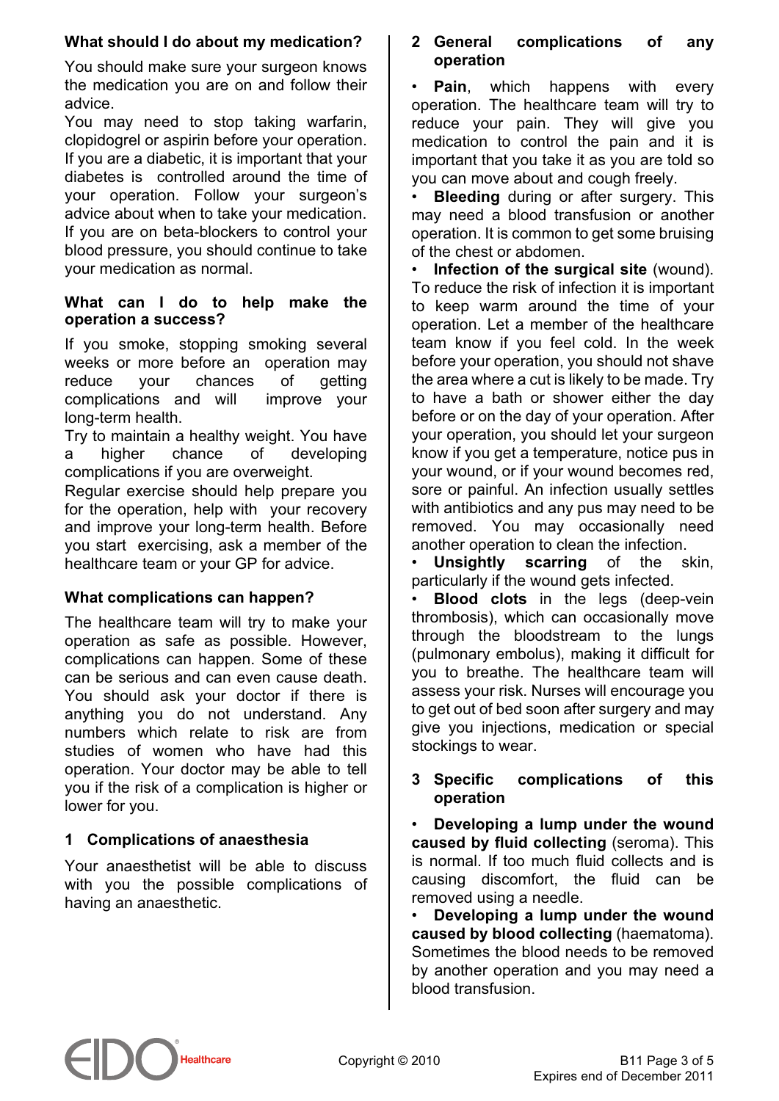## **What should I do about my medication?**

You should make sure your surgeon knows the medication you are on and follow their advice.

You may need to stop taking warfarin, clopidogrel or aspirin before your operation. If you are a diabetic, it is important that your diabetes is controlled around the time of your operation. Follow your surgeon's advice about when to take your medication. If you are on beta-blockers to control your blood pressure, you should continue to take your medication as normal.

## **What can I do to help make the operation a success?**

If you smoke, stopping smoking several weeks or more before an operation may reduce your chances of getting complications and will improve your long-term health.

Try to maintain a healthy weight. You have a higher chance of developing complications if you are overweight.

Regular exercise should help prepare you for the operation, help with your recovery and improve your long-term health. Before you start exercising, ask a member of the healthcare team or your GP for advice.

# **What complications can happen?**

The healthcare team will try to make your operation as safe as possible. However, complications can happen. Some of these can be serious and can even cause death. You should ask your doctor if there is anything you do not understand. Any numbers which relate to risk are from studies of women who have had this operation. Your doctor may be able to tell you if the risk of a complication is higher or lower for you.

# **1 Complications of anaesthesia**

Your anaesthetist will be able to discuss with you the possible complications of having an anaesthetic.

## **2 General complications of any operation**

**Pain**, which happens with every operation. The healthcare team will try to reduce your pain. They will give you medication to control the pain and it is important that you take it as you are told so you can move about and cough freely.

**Bleeding** during or after surgery. This may need a blood transfusion or another operation. It is common to get some bruising of the chest or abdomen.

• **Infection of the surgical site** (wound). To reduce the risk of infection it is important to keep warm around the time of your operation. Let a member of the healthcare team know if you feel cold. In the week before your operation, you should not shave the area where a cut is likely to be made. Try to have a bath or shower either the day before or on the day of your operation. After your operation, you should let your surgeon know if you get a temperature, notice pus in your wound, or if your wound becomes red, sore or painful. An infection usually settles with antibiotics and any pus may need to be removed. You may occasionally need another operation to clean the infection.

• **Unsightly scarring** of the skin, particularly if the wound gets infected.

• **Blood clots** in the legs (deep-vein thrombosis), which can occasionally move through the bloodstream to the lungs (pulmonary embolus), making it difficult for you to breathe. The healthcare team will assess your risk. Nurses will encourage you to get out of bed soon after surgery and may give you injections, medication or special stockings to wear.

## **3 Specific complications of this operation**

• **Developing a lump under the wound caused by fluid collecting** (seroma). This is normal. If too much fluid collects and is causing discomfort, the fluid can be removed using a needle.

• **Developing a lump under the wound caused by blood collecting** (haematoma). Sometimes the blood needs to be removed by another operation and you may need a blood transfusion.

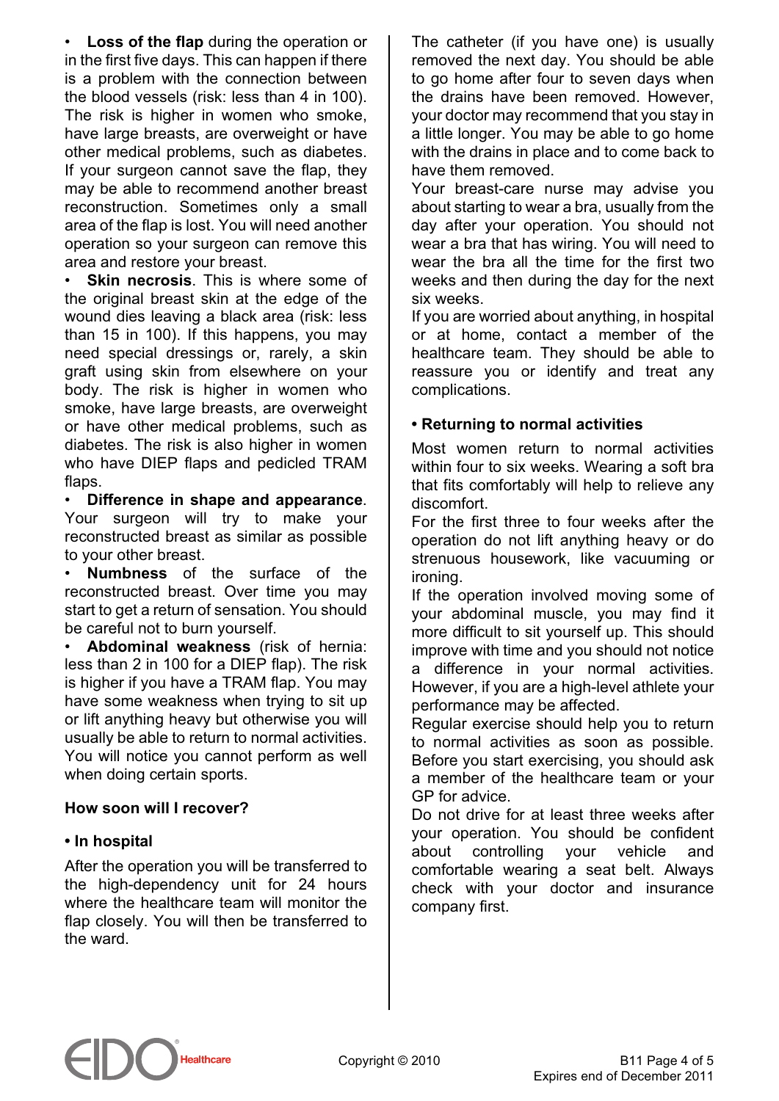• **Loss of the flap** during the operation or in the first five days. This can happen if there is a problem with the connection between the blood vessels (risk: less than 4 in 100). The risk is higher in women who smoke, have large breasts, are overweight or have other medical problems, such as diabetes. If your surgeon cannot save the flap, they may be able to recommend another breast reconstruction. Sometimes only a small area of the flap is lost. You will need another operation so your surgeon can remove this area and restore your breast.

• **Skin necrosis**. This is where some of the original breast skin at the edge of the wound dies leaving a black area (risk: less than 15 in 100). If this happens, you may need special dressings or, rarely, a skin graft using skin from elsewhere on your body. The risk is higher in women who smoke, have large breasts, are overweight or have other medical problems, such as diabetes. The risk is also higher in women who have DIEP flaps and pedicled TRAM flaps.

• **Difference in shape and appearance**. Your surgeon will try to make your reconstructed breast as similar as possible to your other breast.

• **Numbness** of the surface of the reconstructed breast. Over time you may start to get a return of sensation. You should be careful not to burn yourself.

• **Abdominal weakness** (risk of hernia: less than 2 in 100 for a DIEP flap). The risk is higher if you have a TRAM flap. You may have some weakness when trying to sit up or lift anything heavy but otherwise you will usually be able to return to normal activities. You will notice you cannot perform as well when doing certain sports.

#### **How soon will I recover?**

#### **• In hospital**

After the operation you will be transferred to the high-dependency unit for 24 hours where the healthcare team will monitor the flap closely. You will then be transferred to the ward.

The catheter (if you have one) is usually removed the next day. You should be able to go home after four to seven days when the drains have been removed. However, your doctor may recommend that you stay in a little longer. You may be able to go home with the drains in place and to come back to have them removed.

Your breast-care nurse may advise you about starting to wear a bra, usually from the day after your operation. You should not wear a bra that has wiring. You will need to wear the bra all the time for the first two weeks and then during the day for the next six weeks.

If you are worried about anything, in hospital or at home, contact a member of the healthcare team. They should be able to reassure you or identify and treat any complications.

## **• Returning to normal activities**

Most women return to normal activities within four to six weeks. Wearing a soft bra that fits comfortably will help to relieve any discomfort.

For the first three to four weeks after the operation do not lift anything heavy or do strenuous housework, like vacuuming or ironing.

If the operation involved moving some of your abdominal muscle, you may find it more difficult to sit yourself up. This should improve with time and you should not notice a difference in your normal activities. However, if you are a high-level athlete your performance may be affected.

Regular exercise should help you to return to normal activities as soon as possible. Before you start exercising, you should ask a member of the healthcare team or your GP for advice.

Do not drive for at least three weeks after your operation. You should be confident about controlling your vehicle and comfortable wearing a seat belt. Always check with your doctor and insurance company first.